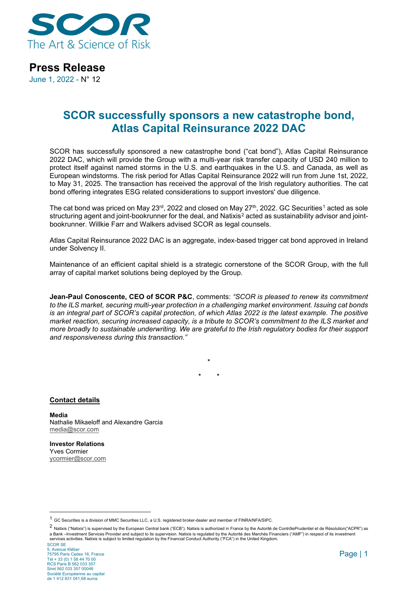

### **Press Release**

June 1, 2022 - N° 12

## **SCOR successfully sponsors a new catastrophe bond, Atlas Capital Reinsurance 2022 DAC**

SCOR has successfully sponsored a new catastrophe bond ("cat bond"), Atlas Capital Reinsurance 2022 DAC, which will provide the Group with a multi-year risk transfer capacity of USD 240 million to protect itself against named storms in the U.S. and earthquakes in the U.S. and Canada, as well as European windstorms. The risk period for Atlas Capital Reinsurance 2022 will run from June 1st, 2022, to May 31, 2025. The transaction has received the approval of the Irish regulatory authorities. The cat bond offering integrates ESG related considerations to support investors' due diligence.

The cat bond was priced on May 23<sup>rd</sup>, 2022 and closed on May 27<sup>th</sup>, 2022. GC Securities<sup>[1](#page-0-0)</sup> acted as sole structuring agent and joint-bookrunner for the deal, and Natixis<sup>[2](#page-0-1)</sup> acted as sustainability advisor and jointbookrunner. Willkie Farr and Walkers advised SCOR as legal counsels.

Atlas Capital Reinsurance 2022 DAC is an aggregate, index-based trigger cat bond approved in Ireland under Solvency II.

Maintenance of an efficient capital shield is a strategic cornerstone of the SCOR Group, with the full array of capital market solutions being deployed by the Group.

**Jean-Paul Conoscente, CEO of SCOR P&C**, comments: *"SCOR is pleased to renew its commitment to the ILS market, securing multi-year protection in a challenging market environment. Issuing cat bonds is an integral part of SCOR's capital protection, of which Atlas 2022 is the latest example. The positive market reaction, securing increased capacity, is a tribute to SCOR's commitment to the ILS market and more broadly to sustainable underwriting. We are grateful to the Irish regulatory bodies for their support and responsiveness during this transaction."*

> **\* \* \***

**Contact details**

**Media** Nathalie Mikaeloff and Alexandre Garcia [media@scor.com](mailto:media@scor.com)

**Investor Relations** Yves Cormier [ycormier@scor.com](mailto:ycormier@scor.com)

<span id="page-0-0"></span><sup>1</sup> GC Securities is a division of MMC Securities LLC, a U.S. registered broker-dealer and member of FINRA/NFA/SIPC.

<span id="page-0-1"></span><sup>2</sup> Natixis ("Natixis") is supervised by the European Central bank ("ECB"). Natixis is authorized in France by the Autorité de ContrôlePrudentiel et de Résolution("ACPR") as a Bank –Investment Services Provider and subject to its supervision. Natixis is regulated by the Autorité des Marchés Financiers ("AMF") in respect of its investment services activities. Natixis is subject to limited regulation by the Financial Conduct Authority ("FCA") in the United Kingdom.